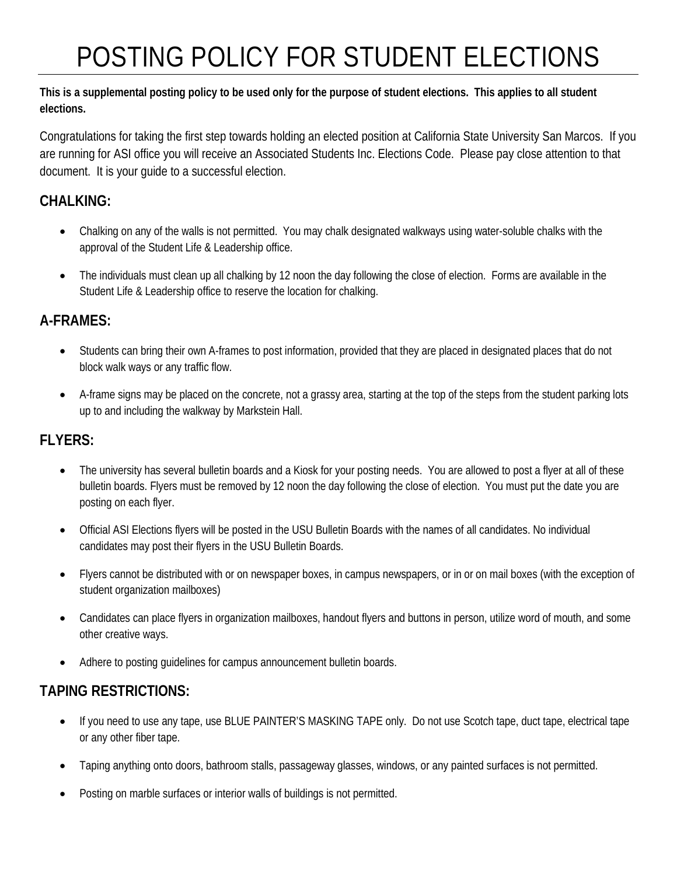# POSTING POLICY FOR STUDENT ELECTIONS

#### **This is a supplemental posting policy to be used only for the purpose of student elections. This applies to all student elections.**

Congratulations for taking the first step towards holding an elected position at California State University San Marcos. If you are running for ASI office you will receive an Associated Students Inc. Elections Code. Please pay close attention to that document. It is your guide to a successful election.

# **CHALKING:**

- Chalking on any of the walls is not permitted. You may chalk designated walkways using water-soluble chalks with the approval of the Student Life & Leadership office.
- The individuals must clean up all chalking by 12 noon the day following the close of election. Forms are available in the Student Life & Leadership office to reserve the location for chalking.

### **A-FRAMES:**

- Students can bring their own A-frames to post information, provided that they are placed in designated places that do not block walk ways or any traffic flow.
- A-frame signs may be placed on the concrete, not a grassy area, starting at the top of the steps from the student parking lots up to and including the walkway by Markstein Hall.

# **FLYERS:**

- The university has several bulletin boards and a Kiosk for your posting needs. You are allowed to post a flyer at all of these bulletin boards. Flyers must be removed by 12 noon the day following the close of election. You must put the date you are posting on each flyer.
- Official ASI Elections flyers will be posted in the USU Bulletin Boards with the names of all candidates. No individual candidates may post their flyers in the USU Bulletin Boards.
- Flyers cannot be distributed with or on newspaper boxes, in campus newspapers, or in or on mail boxes (with the exception of student organization mailboxes)
- Candidates can place flyers in organization mailboxes, handout flyers and buttons in person, utilize word of mouth, and some other creative ways.
- Adhere to posting guidelines for campus announcement bulletin boards.

# **TAPING RESTRICTIONS:**

- If you need to use any tape, use BLUE PAINTER'S MASKING TAPE only. Do not use Scotch tape, duct tape, electrical tape or any other fiber tape.
- Taping anything onto doors, bathroom stalls, passageway glasses, windows, or any painted surfaces is not permitted.
- Posting on marble surfaces or interior walls of buildings is not permitted.